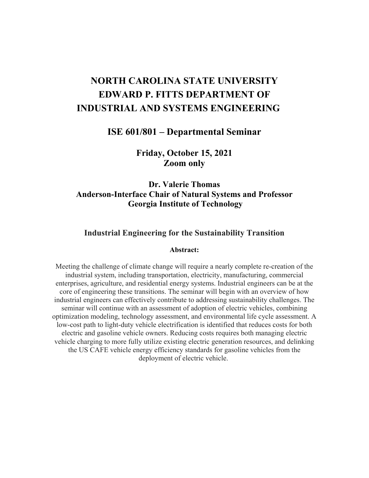# **NORTH CAROLINA STATE UNIVERSITY EDWARD P. FITTS DEPARTMENT OF INDUSTRIAL AND SYSTEMS ENGINEERING**

### **ISE 601/801 – Departmental Seminar**

**Friday, October 15, 2021 Zoom only** 

## **Dr. Valerie Thomas Anderson-Interface Chair of Natural Systems and Professor Georgia Institute of Technology**

## **Industrial Engineering for the Sustainability Transition**

#### **Abstract:**

 enterprises, agriculture, and residential energy systems. Industrial engineers can be at the seminar will continue with an assessment of adoption of electric vehicles, combining low-cost path to light-duty vehicle electrification is identified that reduces costs for both deployment of electric vehicle. Meeting the challenge of climate change will require a nearly complete re-creation of the industrial system, including transportation, electricity, manufacturing, commercial core of engineering these transitions. The seminar will begin with an overview of how industrial engineers can effectively contribute to addressing sustainability challenges. The optimization modeling, technology assessment, and environmental life cycle assessment. A electric and gasoline vehicle owners. Reducing costs requires both managing electric vehicle charging to more fully utilize existing electric generation resources, and delinking the US CAFE vehicle energy efficiency standards for gasoline vehicles from the